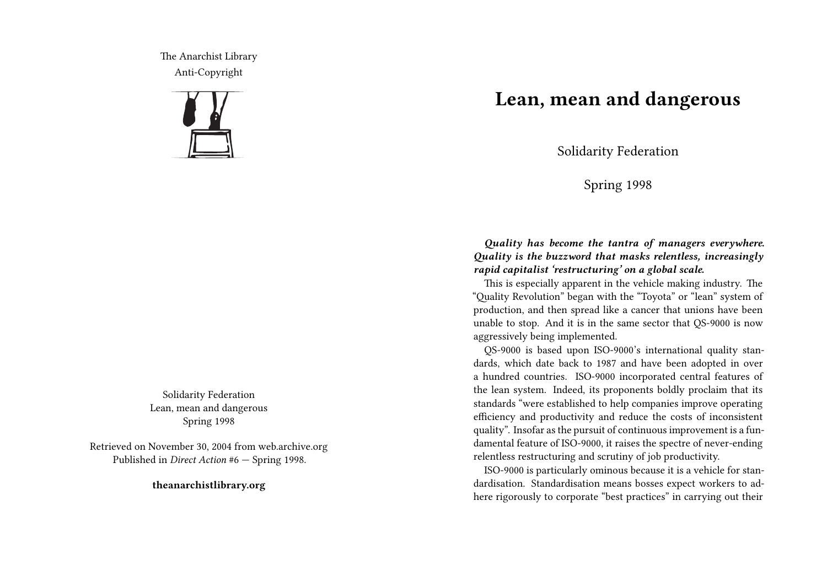The Anarchist Library Anti-Copyright



Solidarity Federation Lean, mean and dangerous Spring 1998

Retrieved on November 30, 2004 from web.archive.org Published in *Direct Action* #6 — Spring 1998.

**theanarchistlibrary.org**

## **Lean, mean and dangerous**

Solidarity Federation

Spring 1998

*Quality has become the tantra of managers everywhere. Quality is the buzzword that masks relentless, increasingly rapid capitalist 'restructuring' on a global scale.*

This is especially apparent in the vehicle making industry. The "Quality Revolution" began with the "Toyota" or "lean" system of production, and then spread like a cancer that unions have been unable to stop. And it is in the same sector that QS-9000 is now aggressively being implemented.

QS-9000 is based upon ISO-9000's international quality standards, which date back to 1987 and have been adopted in over a hundred countries. ISO-9000 incorporated central features of the lean system. Indeed, its proponents boldly proclaim that its standards "were established to help companies improve operating efficiency and productivity and reduce the costs of inconsistent quality". Insofar as the pursuit of continuous improvement is a fundamental feature of ISO-9000, it raises the spectre of never-ending relentless restructuring and scrutiny of job productivity.

ISO-9000 is particularly ominous because it is a vehicle for standardisation. Standardisation means bosses expect workers to adhere rigorously to corporate "best practices" in carrying out their